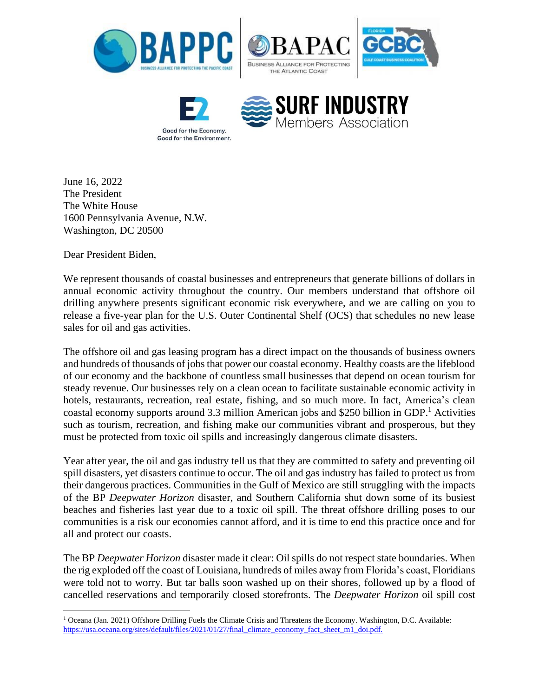





June 16, 2022 The President The White House 1600 Pennsylvania Avenue, N.W. Washington, DC 20500

Dear President Biden,

We represent thousands of coastal businesses and entrepreneurs that generate billions of dollars in annual economic activity throughout the country. Our members understand that offshore oil drilling anywhere presents significant economic risk everywhere, and we are calling on you to release a five-year plan for the U.S. Outer Continental Shelf (OCS) that schedules no new lease sales for oil and gas activities.

The offshore oil and gas leasing program has a direct impact on the thousands of business owners and hundreds of thousands of jobs that power our coastal economy. Healthy coasts are the lifeblood of our economy and the backbone of countless small businesses that depend on ocean tourism for steady revenue. Our businesses rely on a clean ocean to facilitate sustainable economic activity in hotels, restaurants, recreation, real estate, fishing, and so much more. In fact, America's clean coastal economy supports around 3.3 million American jobs and \$250 billion in GDP. <sup>1</sup> Activities such as tourism, recreation, and fishing make our communities vibrant and prosperous, but they must be protected from toxic oil spills and increasingly dangerous climate disasters.

Year after year, the oil and gas industry tell us that they are committed to safety and preventing oil spill disasters, yet disasters continue to occur. The oil and gas industry has failed to protect us from their dangerous practices. Communities in the Gulf of Mexico are still struggling with the impacts of the BP *Deepwater Horizon* disaster, and Southern California shut down some of its busiest beaches and fisheries last year due to a toxic oil spill. The threat offshore drilling poses to our communities is a risk our economies cannot afford, and it is time to end this practice once and for all and protect our coasts.

The BP *Deepwater Horizon* disaster made it clear: Oil spills do not respect state boundaries. When the rig exploded off the coast of Louisiana, hundreds of miles away from Florida's coast, Floridians were told not to worry. But tar balls soon washed up on their shores, followed up by a flood of cancelled reservations and temporarily closed storefronts. The *Deepwater Horizon* oil spill cost

<sup>1</sup> Oceana (Jan. 2021) Offshore Drilling Fuels the Climate Crisis and Threatens the Economy. Washington, D.C. Available: https://usa.oceana.org/sites/default/files/2021/01/27/final\_climate\_economy\_fact\_sheet\_m1\_doi.pdf.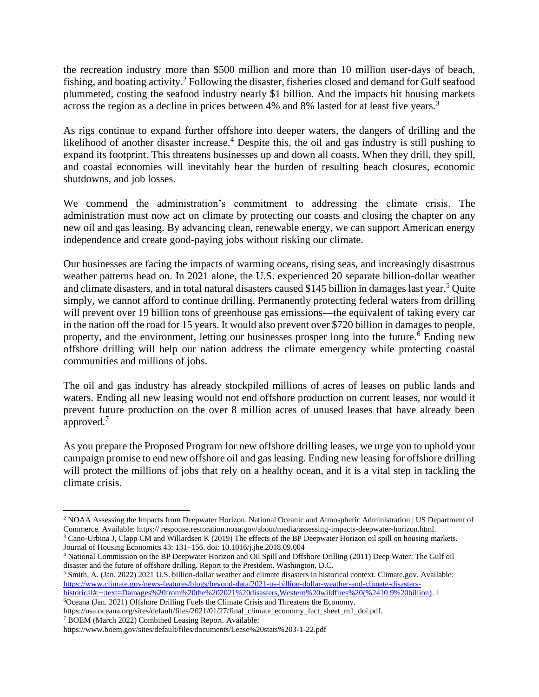the recreation industry more than \$500 million and more than 10 million user-days of beach, fishing, and boating activity.<sup>2</sup> Following the disaster, fisheries closed and demand for Gulf seafood plummeted, costing the seafood industry nearly \$1 billion. And the impacts hit housing markets across the region as a decline in prices between 4% and 8% lasted for at least five years.<sup>3</sup>

As rigs continue to expand further offshore into deeper waters, the dangers of drilling and the likelihood of another disaster increase.<sup>4</sup> Despite this, the oil and gas industry is still pushing to expand its footprint. This threatens businesses up and down all coasts. When they drill, they spill, and coastal economies will inevitably bear the burden of resulting beach closures, economic shutdowns, and job losses.

We commend the administration's commitment to addressing the climate crisis. The administration must now act on climate by protecting our coasts and closing the chapter on any new oil and gas leasing. By advancing clean, renewable energy, we can support American energy independence and create good-paying jobs without risking our climate.

Our businesses are facing the impacts of warming oceans, rising seas, and increasingly disastrous weather patterns head on. In 2021 alone, the U.S. experienced 20 separate billion-dollar weather and climate disasters, and in total natural disasters caused \$145 billion in damages last year. <sup>5</sup> Quite simply, we cannot afford to continue drilling. Permanently protecting federal waters from drilling will prevent over 19 billion tons of greenhouse gas emissions—the equivalent of taking every car in the nation off the road for 15 years. It would also prevent over \$720 billion in damages to people, property, and the environment, letting our businesses prosper long into the future.<sup>6</sup> Ending new offshore drilling will help our nation address the climate emergency while protecting coastal communities and millions of jobs.

The oil and gas industry has already stockpiled millions of acres of leases on public lands and waters. Ending all new leasing would not end offshore production on current leases, nor would it prevent future production on the over 8 million acres of unused leases that have already been approved.<sup>7</sup>

As you prepare the Proposed Program for new offshore drilling leases, we urge you to uphold your campaign promise to end new offshore oil and gas leasing. Ending new leasing for offshore drilling will protect the millions of jobs that rely on a healthy ocean, and it is a vital step in tackling the climate crisis.

<sup>6</sup>Oceana (Jan. 2021) Offshore Drilling Fuels the Climate Crisis and Threatens the Economy.

<sup>2</sup> NOAA Assessing the Impacts from Deepwater Horizon. National Oceanic and Atmospheric Administration | US Department of Commerce. Available: https:// response.restoration.noaa.gov/about/media/assessing-impacts-deepwater-horizon.html.

<sup>&</sup>lt;sup>3</sup> Cano-Urbina J, Clapp CM and Willardsen K (2019) The effects of the BP Deepwater Horizon oil spill on housing markets. Journal of Housing Economics 43: 131–156. doi: 10.1016/j.jhe.2018.09.004

<sup>4</sup> National Commission on the BP Deepwater Horizon and Oil Spill and Offshore Drilling (2011) Deep Water: The Gulf oil disaster and the future of offshore drilling. Report to the President. Washington, D.C.

<sup>5</sup> Smith, A. (Jan. 2022) 2021 U.S. billion-dollar weather and climate disasters in historical context. Climate.gov*.* Available: [https://www.climate.gov/news-features/blogs/beyond-data/2021-us-billion-dollar-weather-and-climate-disasters](https://www.climate.gov/news-features/blogs/beyond-data/2021-us-billion-dollar-weather-and-climate-disasters-historical#:~:text=Damages%20from%20the%202021%20disasters,Western%20wildfires%20(%2410.9%20billion))[historical#:~:text=Damages%20from%20the%202021%20disasters,Western%20wildfires%20\(%2410.9%20billion\).](https://www.climate.gov/news-features/blogs/beyond-data/2021-us-billion-dollar-weather-and-climate-disasters-historical#:~:text=Damages%20from%20the%202021%20disasters,Western%20wildfires%20(%2410.9%20billion)) l

https://usa.oceana.org/sites/default/files/2021/01/27/final\_climate\_economy\_fact\_sheet\_m1\_doi.pdf. <sup>7</sup> BOEM (March 2022) Combined Leasing Report. Available:

https://www.boem.gov/sites/default/files/documents/Lease%20stats%203-1-22.pdf